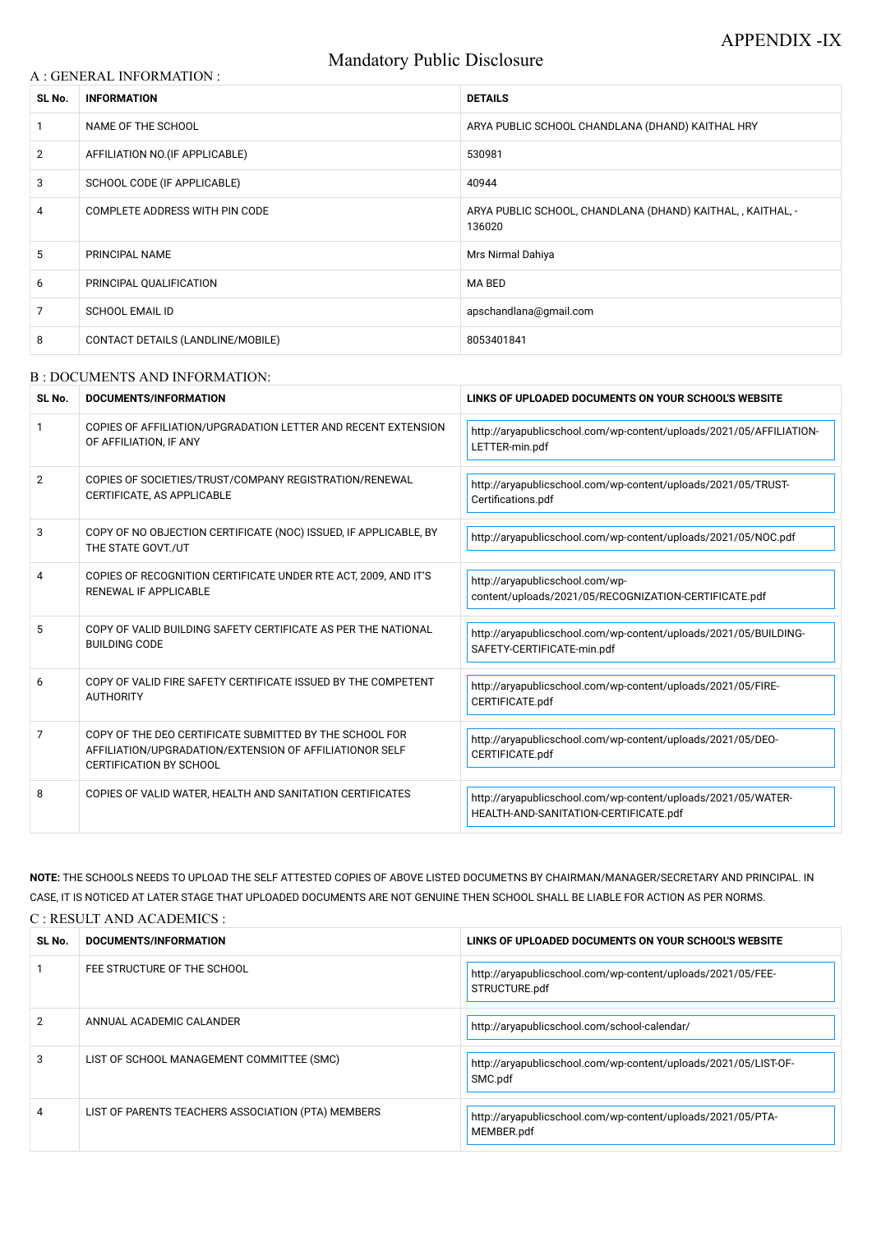# Mandatory Public Disclosure

#### A : GENERAL INFORMATION :

| SL No.         | <b>INFORMATION</b>                | <b>DETAILS</b>                                                        |
|----------------|-----------------------------------|-----------------------------------------------------------------------|
|                | NAME OF THE SCHOOL                | ARYA PUBLIC SCHOOL CHANDLANA (DHAND) KAITHAL HRY                      |
| $\overline{2}$ | AFFILIATION NO. (IF APPLICABLE)   | 530981                                                                |
| 3              | SCHOOL CODE (IF APPLICABLE)       | 40944                                                                 |
| 4              | COMPLETE ADDRESS WITH PIN CODE    | ARYA PUBLIC SCHOOL, CHANDLANA (DHAND) KAITHAL, , KAITHAL, -<br>136020 |
| 5              | PRINCIPAL NAME                    | Mrs Nirmal Dahiya                                                     |
| 6              | PRINCIPAL QUALIFICATION           | MA BED                                                                |
| 7              | <b>SCHOOL EMAIL ID</b>            | apschandlana@gmail.com                                                |
| 8              | CONTACT DETAILS (LANDLINE/MOBILE) | 8053401841                                                            |

#### B : DOCUMENTS AND INFORMATION:

| SL No. | DOCUMENTS/INFORMATION                                                                                                                                | LINKS OF UPLOADED DOCUMENTS ON YOUR SCHOOL'S WEBSITE                                                   |  |
|--------|------------------------------------------------------------------------------------------------------------------------------------------------------|--------------------------------------------------------------------------------------------------------|--|
|        | COPIES OF AFFILIATION/UPGRADATION LETTER AND RECENT EXTENSION<br>OF AFFILIATION, IF ANY                                                              | http://aryapublicschool.com/wp-content/uploads/2021/05/AFFILIATION-<br>LETTER-min.pdf                  |  |
| 2      | COPIES OF SOCIETIES/TRUST/COMPANY REGISTRATION/RENEWAL<br>CERTIFICATE, AS APPLICABLE                                                                 | http://aryapublicschool.com/wp-content/uploads/2021/05/TRUST-<br>Certifications.pdf                    |  |
| 3      | COPY OF NO OBJECTION CERTIFICATE (NOC) ISSUED, IF APPLICABLE, BY<br>THE STATE GOVT./UT                                                               | http://aryapublicschool.com/wp-content/uploads/2021/05/NOC.pdf                                         |  |
| 4      | COPIES OF RECOGNITION CERTIFICATE UNDER RTE ACT, 2009, AND IT'S<br>RENEWAL IF APPLICABLE                                                             | http://aryapublicschool.com/wp-<br>content/uploads/2021/05/RECOGNIZATION-CERTIFICATE.pdf               |  |
| 5      | COPY OF VALID BUILDING SAFETY CERTIFICATE AS PER THE NATIONAL<br><b>BUILDING CODE</b>                                                                | http://aryapublicschool.com/wp-content/uploads/2021/05/BUILDING-<br>SAFETY-CERTIFICATE-min.pdf         |  |
| 6      | COPY OF VALID FIRE SAFETY CERTIFICATE ISSUED BY THE COMPETENT<br><b>AUTHORITY</b>                                                                    | http://aryapublicschool.com/wp-content/uploads/2021/05/FIRE-<br>CERTIFICATE.pdf                        |  |
| 7      | COPY OF THE DEO CERTIFICATE SUBMITTED BY THE SCHOOL FOR<br>AFFILIATION/UPGRADATION/EXTENSION OF AFFILIATIONOR SELF<br><b>CERTIFICATION BY SCHOOL</b> | http://aryapublicschool.com/wp-content/uploads/2021/05/DEO-<br>CERTIFICATE.pdf                         |  |
| 8      | COPIES OF VALID WATER, HEALTH AND SANITATION CERTIFICATES                                                                                            | http://aryapublicschool.com/wp-content/uploads/2021/05/WATER-<br>HEALTH-AND-SANITATION-CERTIFICATE.pdf |  |

NOTE: THE SCHOOLS NEEDS TO UPLOAD THE SELF ATTESTED COPIES OF ABOVE LISTED DOCUMETNS BY CHAIRMAN/MANAGER/SECRETARY AND PRINCIPAL. IN CASE, IT IS NOTICED AT LATER STAGE THAT UPLOADED DOCUMENTS ARE NOT GENUINE THEN SCHOOL SHALL BE LIABLE FOR ACTION AS PER NORMS. C : RESULT AND ACADEMICS :

| SL No. | DOCUMENTS/INFORMATION                              | LINKS OF UPLOADED DOCUMENTS ON YOUR SCHOOL'S WEBSITE                         |
|--------|----------------------------------------------------|------------------------------------------------------------------------------|
|        | FEE STRUCTURE OF THE SCHOOL                        | http://aryapublicschool.com/wp-content/uploads/2021/05/FEE-<br>STRUCTURE.pdf |
| 2      | ANNUAL ACADEMIC CALANDER                           | http://aryapublicschool.com/school-calendar/                                 |
| 3      | LIST OF SCHOOL MANAGEMENT COMMITTEE (SMC)          | http://aryapublicschool.com/wp-content/uploads/2021/05/LIST-OF-<br>SMC.pdf   |
| 4      | LIST OF PARENTS TEACHERS ASSOCIATION (PTA) MEMBERS | http://aryapublicschool.com/wp-content/uploads/2021/05/PTA-<br>MEMBER.pdf    |